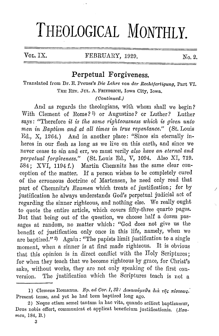# **THEOLOGICAL MONTHLY.**

## VOL. IX. FEBRUARY, 1929. No. 2.

*I* 

#### **Perpetual Forgiveness.**

Translated from Dr. E. Preuss's *Die Lehre von der Reohtfertigung,* Part VI. THE REV. JUL, A. FRIEDRICH, Iowa City, Iowa.

#### *(Oontintted.)*

And as regards the theologians, with whom shall we begin? With Clement of Rome?<sup>1</sup>) or Augustine? or Luther? Luther says: "'l'herefore *it is the same righteousness which is given unto men in Baptism and at all times in trne repentance."* ( St. Louis Ed., X, 1264.) And in another place: "Since sin eternally inheres in our flesh as long as we live on this earth, and since we never cease to sin and err, we must verily *also have an eternal and perpetital forgiveness."* (St. Louis Ed., V, 1094. Also XI, 719. 584; XVI, 1194 f.) Martin Chemnitz has the same clear conception of the matter. If a person wishes to be completely cured of the erroneous doctrine of Martensen, he need only read that part of Ohemnitz's *Examen* which treats of justification; for by justification he always understands God's perpetual judicial act of regarding the sinner righteous, and nothing else. We really ought to quote the entire article, which covers fifty-three quarto pages. But that being out of the question, we choose half a dozen passages at random, no matter which: "God does not give us the benefit of justification only once in this life, namely, when we are baptized."  $9$  Again: "The papists limit justification to a single moment, when a sinner is at first made righteous. It is obvious that this opinion is in direct conflict with the Holy Scriptures; for when they teach that we become righteous by grace, for Christ's sake, without works, they are not only speaking of the first conversion. The justification which the Scriptures teach is not a

<sup>1)</sup> Clemens Romanus. *Ep. ad Cor. I, 32: Δικαιούμεθα διά της πίστεως.* Present tense, and yet he had been baptized long ago.

<sup>2)</sup> Neque etiam semel tantum in hac vita, quando scilicet baptizamur, Deus nobis offert, communicat et applicat beneficium justificationis.  $(Fxa$ *men,* 184, Il.)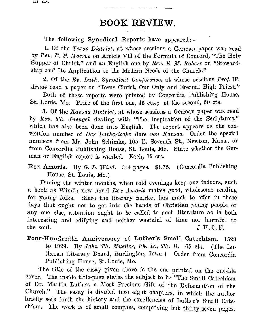## **BOOK REVIEW.**

The following Synodical Reports have appeared:  $-$ 

1. Of the *Texas District,* at whose sessions a German paper was read by *Rev. E. F. Moerbe* on Article VII of the Formula of Concord, "The Holy Supper of Christ," and an English one by *Rev.* E. *M. Robert* on "Stewardship and Its Application to the Modern Needs of the Church."

2. Of the *Ev. Luth. Synodical Conference*, at whose sessions *Prof. W. Arndt* read a paper on "Jesus Christ, Our Only and Eternal High Priest."

Doth of these reports were printed by Concordia Publishing House, St. Louis, Mo. Price of the first one, *45* cts.; of the second, 50 cts.

3. Of the *Ifonsas District,* at whose sessions a German paper was read by *Rev. Th. Juengei* dealing with "The Inspiration of the Scriptures," which has also been done into English. The report appears as the convention number of *Der Lutherische Bote von Kansas*. Order the special numbers from Mr. John Schimke, 105 E. Seventh St., Newton, Kans., or from Concordia Publishing House, St. Louis, Mo. State whether the German or English report is wanted. Each, 15 cts.

**Rex Amoris.** Dy *G. L. Wind.* 344 pages. \$1.75. (Concordia Publishing House, St. Louis, Mo. )

During the winter months, when cold evenings keep one indoors, such a book as Wind's new novel Rex Amoris makes good, wholesome reading for young folks. Since the literary market has much to offer in these days that ought not to get into the hands of Christian young people or any one else, attention ought to be called to such literature as is both interesting and edifying and neither wasteful of time nor harmful to  $J. H. C. F.$ 

Four-Hundredth Anniversary of Luther's Small Catechism. 1529 to 11)29. Dy *John Th. Miteller, Ph. D., Th. D.* 65 cts. (The Lutheran Literary Board, Durlington, Iowa.) Order from Concordia Publishing House, St. Louis, Mo.

The title of the essay given above is the one printed on the outside cover. 'l'he inside title-page states the subject to be "The Small Catechism of Dr. Martin Luther, a Most Precious Gift of the Reformation of the Church." The essay is divided into eight chapters, in which the author briefly sets forth the history and the excellencies of Luther's Small Catechism. The work is of smal! compass, comprising but thirty-seven pages,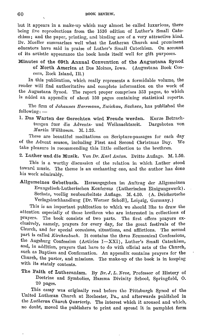but it appears in a make-up which may almost be called luxurious, there being five reproductions from the 1530 edition of Luther's Small Catechism; and the paper, printing, and binding are of a very attractive kind. Dr. Mueller summarizes well what the Lutheran Church and prominent educators have said in praise of Luther's Small Catechism. On account of its artistic appearance the book lends itself well for gift purposes.

Minutes of the 69th Annual Convention of the Augustana Synod of North America at Des Moines, Iowa. (Augustana Book Concern, Rock Island, Ill.)

In this publication, which really represents a formidable volume, the reader will find authoritative and complete information on the work of the Augustana Synod. The report proper comprises 353 pages, to which is added an appendix of about 150 pages containing statistical reports.

'fhe firm of *Johannes IIerrrnann, 7,wiokau, Saohseii,* has published the  $following: -$ 

1. Das Warten der Gerechten wird Freude werden. Kurze Betrachtungen fuer die Advents- und Weihnachtszeit. *Uartin Willkomrn.* M. 1.25. Dargeboten von

These are beautiful meditations on Scripture-passages for each day of the Advent season, including First and Second Christmas Day. We take pleasure in recommending this little collection to the brethren.

2. Luther und die Musik. Von *Dr. Karl Anton.* Dritte Auflage. M. 1.50.

This is a worthy discussion of the relation in which Luther stood toward music. The theme is an enchanting one, and the author has done his work admirably.

Allgemeines Gebetbuch. Herausgegeben im Auftrag der Allgemeinen Evangelisch-Lutherischen Konferenz (Lutherisches Einiguugswerk), Sechste, voellig neubearbeitete Auflage. M. 4.50. (A. Deichertsche Verlagsbuchhandlung [Dr. Werner Scholl], Leipzig, Germany.)

This is an important publication to which we should like to draw the attention especially of those brethren who are interested in collections of prayers. The book consists of two parts. The first offers prayers exclusively, namely, prayers for every day, for the great festivals of the Church, and for special occasions, situations, and afllictions. The second part is called *Kirchenbuch*. It contains the three Ecumenical Confessions, the Augsburg Confession (Articles I-XXI), Luther's Small Catechism, and, in addition, prayers that have to do with official acts of the Church, such as Baptism and Confirmation. An appendix contains prayers for the Church, the pastor, and missions. The make-up of the book is in keeping with its stately contents.

The Faith of Lutheranism. By *Dr. J,* L. *Neve,* Professor of History of Doctrine and Symbolics, Hamma Divinity School, Springfield, O. 20 pages.

This essay was originally read before the Pittsburgh Synod of the United Lutheran Church at Rochester, Pa., and afterwards published in the *Lutheran Church Quarterly*. The interest which it aroused and which, no doubt, moved the publishers to print and spread it in pamphlet form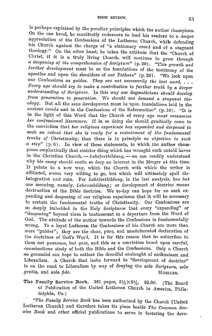is perhaps explained by the peculiar principles which the author champions. On the one hand, he manifestly endeavors to lead his readers to a deeper appreciation of the Confessions of the Lutheran Church, while defending his Church against the charge of "a stationary creed and of a stagnant theology." On the other hand, he takes the attitude that the "Church of Christ, if it is a truly living Church, will continue to grow *through a deepening of the comprehension of Scripture"* (p. 20). "This growth and *further development* must be on the foundations of the testimony of the apostles and upon the shoulders of our Fathers" (p. 20). "We look upon our Confessions as *guides. They are not necessarily the last word.* ... *Every age should try to make a contribution to further truth by a deeper understanding of Scripture.* In this way our dogmaticians *should develop from generation to generation.* We should not demand a *stagnant the- ·ology.* Dut all the sane development must be upon foundations laid in the ancient creeds and in the Confessions of the Reformation" (p. 10). "It is in the light of this Word that the Church of every age *must reexamine .lier confessional literature.* If **in** so doing she should gradually come to the conviction that *her religious experience has expanded and deepened to*  such an extent that she is ready for a restatement of the fundamental *truths of Christianity,* then there is in principle *no objection to such a step*" (p. 6). In view of these statements, in which the author champions emphatically that sinister thing which has wrought such untold havoc in the Christian Church, - Lehrfortbildung, - we can readily understand why his essay should excite so deep an interest **in** the Merger at this time. It points to a new way, which the Church with which the writer is affiliated, seems very willing to go, but which will ultimately spell disintegration and ruin. For *Lehrfortbildung,* in the last analysis, has but -one meaning, namely, *Lehrmnbildung;* or development of doctrine means ,destruction of the Dible doctrine. We to-day can hope for no such expanding and deepening of our religious experience that it will be necessary to restate the fundamental truths of Christianity. Our Confessions are so deeply imbedded in the Holy Scriptures that every "expanding" or ·"deepening" beyond them is tantamount to a departure from the Word of ·God. The attitude of the author towards the Confessions is fundamentally wrong. To a loyal Lutheran the Confessions of his Church are more than mere "guides"; they are the clear, pure, and unadulterated declaration of the doctrines of God's Word. It is for this reason that he subscribes to them not *quatenus*, but *quia*, and this as a conviction based upon careful, conscientious study of both the Dible and the Confessions. Only a Church ,so grounded can hope to outlast the dreadful onslaught of enthusiasm and Liberalism. A Church that looks forward to "development of doctrine" is on the road to Liberalism by way of denying the *sola Soriptura, sola gratia,* and *sola fide.* MUELLER.

The Family Service Book. 361 pages,  $5\frac{1}{2}\times8\frac{1}{2}$ . \$2.00. (The Board of Publication of the United Lutheran Church in America, Philadelphia, Pa.)

*"1.'he Family Service Boole* has been authorized by the Church [United :Lutheran Church] and therefore takes its place beside *The Common Ser- ·.vice Book* and other official publications to serve in fostering the devo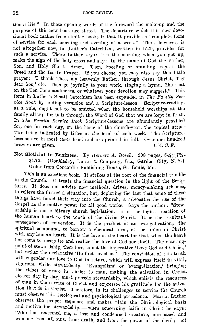tional life." In these opening words of the foreword the make-up and the purpose of this new book are stated. The departure which this new devotional book makes from similar books is that it provides a "complete form of service for each morning and evening of a week." That, however, is not altogether new, for Luther's Catechism, written in 1529, provides for such a service. There Luther says: "In the morning when you get up, make the sign of the holy cross and say: In the name of God the Father, Son, and Holy Ghost. Amen. Then, kneeling or standing, repeat the Creed and the Lord's Prayer. If you choose, you may also say this little prayer: 'I thank Thee, my heavenly Father, through Jesus Christ, Thy dear Son,' etc. Then go joyfully to your work, singing a hymn, like that on the Ten Commandments, or whatever your devotion may suggest." This, form in Luther's Small Catechism has been expanded in *The Family Service Book* by adding versicles and a Scripture-lesson. Scripture-reading, as a rule, ought not to be omitted when the household worships at the family altar; for it is through the Word of God that we are kept in faith. In *The Family Service Book* Scripture-lessons are abundantly provided for, one for each day, on the basis of the church-year, the topical structure being indicated by titles at the head of each week. The Scripturelessons are in most cases brief and are printed in full. Over one hundred prayers are given. J. H. C. F. prayers are given.

Not Slothful in Business. By *Herbert A. Bosch.* 208 pages,  $5\frac{1}{\sqrt{7}}\$ <sup>4</sup>+<br>\$1.75. (Doubleday Doran & Company Inc. Garden City N.Y.) (Doubleday, Doran & Company, Inc., Garden City, N. Y.) Order from Concordia Publishing House, St. Louis, Mo.

This is an excellent book. It strikes at the root of the financial trouble· in the Church. It treats the financial question in the light of the Scrip-It does not advise new methods, drives, money-making schemes, to relieve the financial situation, but, deploring the fact that some of these· things have found their way into the Church, it advocates the use of the Gospel as the motive power for all good works. Says the author: "Stewardship is not arbitrary church legislation. It is the logical reaction of the human heart to the touch of the divine Spirit. It is the resultant. consequence of conversion. It is the product of an evangelization; the spiritual compound, to borrow a chemical term, of the union of Christ with any human heart. It is the love of the heart for God, when the heart has come to recognize and realize the love of God for itself. The startingpoint of stewardship, therefore, is not the imperative 'Love God and Christ,' but rather the declarative 'He first loved us.' The conviction of this truth will engender our love to God in return, which will express itself in vital, vigorous, virile stewardship. 'Evangelism' or 'evangelization,' bringing. the riches of grace in Christ to man, making the salvation in Christ clearer day by day, must precede stewardship, which enlists the resources. of man in the service of Christ and expresses his gratitude for the salvation that is in Christ. Therefore, in its challenges to service the Church must observe this theological and psychological precedence. Martin Luther observes the proper sequence and makes plain the Christological basis and motive for stewardship, - when concerning faith in Christ he says: 'Who has redeemed me, a lost and condemned creature, purchased and won me from all sins, from death, and from the power of the devil; not: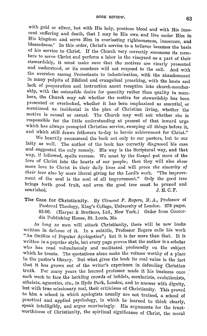with gold or silver, but with His holy, precious blood and with His innocent suffering and death, that I may be His own and live under Him in His kingdom and serve Him in everlasting righteousness, innocence, **and**  blessedness.' In this order, Christ's service to a believer becomes the basis of his service to Christ. If the Church very correctly summons its members to serve Christ and perform a labor **in** the vineyard as a part of their stewardship, it must make sure that the motives are clearly presented and understood, or its members will not respond to the call. And with the aversion among Protestants to indoctrination, with the abandonment in many pulpits of Biblical and evangelical preaching, with the haste and lack of preparation and instruction anent reception into church-membership, with the ostensible desire for quantity rather than quality in members, the Church may ask whether the motive for stewardship has been presented or overlooked, whether it has been emphasized as essential or mentioned as incidental in the plan of Christian living, whether 'the motive is causal or casual. The Church may well ask whether she is responsible for the little understanding at present of that inward urge which has always prompted Christian service, sweeping all things before it, and which still draws followers to-day to heroic achievement for Christ."

vVe heartily recommend the book not only to our pastors, but to our laity as well. The author of the book has correctly diagnosed his case and suggested the only remedy. His way is the Scriptural way, and that way, if followed, spells success. We must by the Gospel put more of the love of Christ into the hearts of our people; then they will also *show*  more love to Christ in their daily lives and will *prove the sincerity of their love* also by more liberal giving for the Lord's work. "The improvement of the soul is the soul of all improvement." Only the good tree brings forth good fruit, and even the good tree must be pruned and nourished.  $I. H. C. F.$ J. H. C. F.

The Case for Christianity. By *Clement F. Rogers, M.A.*, Professor of Pastoral Theology, King's College, University of London. 278 pages. \$3.00. (Harper & Brothers, Ltd., New York.) Order from Concordia Publishing House, St. Louis, Mo .

.As long as men will attack Christianity, there will be new books written in defense of it. In a subtitle, Professor Rogers calls his work "An Outline of Popular Apologetics"; but it is far more than that. It is written in a popular style, but every page proves that the author is a scholar who has read voluminously and meditated profoundly on the subject which he treats. The quotations alone make the volume worthy of a place in the pastor's library. But what gives the book its real value is the fact that it has grown out of the writer's experience in defending Christian truth. For many years the learned professor made it his business once each week to face the heckling crowds of infidels, secularists, evolutionists, atheists, agnostics, etc., in Hyde Park, London, and to answer with dignity, but with true missionary zeal, their criticisms of Christianity. This proved to him a school in which apologists usually arc not trained, a school of practical and applied psychology, in which he learned to think clearly, speak intelligibly, and argue convincingly. His arguments for the trustworthiness of Christianity, the spiritual significance of Christ, the moral